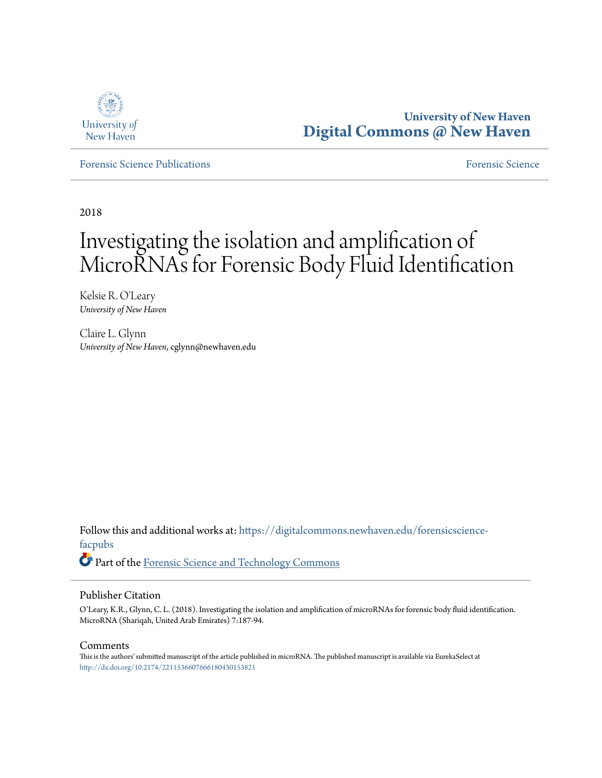

**University of New Haven [Digital Commons @ New Haven](https://digitalcommons.newhaven.edu?utm_source=digitalcommons.newhaven.edu%2Fforensicscience-facpubs%2F37&utm_medium=PDF&utm_campaign=PDFCoverPages)**

[Forensic Science Publications](https://digitalcommons.newhaven.edu/forensicscience-facpubs?utm_source=digitalcommons.newhaven.edu%2Fforensicscience-facpubs%2F37&utm_medium=PDF&utm_campaign=PDFCoverPages) [Forensic Science](https://digitalcommons.newhaven.edu/forensicscience?utm_source=digitalcommons.newhaven.edu%2Fforensicscience-facpubs%2F37&utm_medium=PDF&utm_campaign=PDFCoverPages)

2018

# Investigating the isolation and amplification of MicroRNAs for Forensic Body Fluid Identification

Kelsie R. O'Leary *University of New Haven*

Claire L. Glynn *University of New Haven*, cglynn@newhaven.edu

Follow this and additional works at: [https://digitalcommons.newhaven.edu/forensicscience](https://digitalcommons.newhaven.edu/forensicscience-facpubs?utm_source=digitalcommons.newhaven.edu%2Fforensicscience-facpubs%2F37&utm_medium=PDF&utm_campaign=PDFCoverPages)[facpubs](https://digitalcommons.newhaven.edu/forensicscience-facpubs?utm_source=digitalcommons.newhaven.edu%2Fforensicscience-facpubs%2F37&utm_medium=PDF&utm_campaign=PDFCoverPages) Part of the [Forensic Science and Technology Commons](http://network.bepress.com/hgg/discipline/1277?utm_source=digitalcommons.newhaven.edu%2Fforensicscience-facpubs%2F37&utm_medium=PDF&utm_campaign=PDFCoverPages)

# Publisher Citation

O'Leary, K.R., Glynn, C. L. (2018). Investigating the isolation and amplification of microRNAs for forensic body fluid identification. MicroRNA (Shariqah, United Arab Emirates) 7:187-94.

#### Comments

This is the authors' submitted manuscript of the article published in microRNA. The published manuscript is available via EurekaSelect at <http://dx.doi.org/10.2174/2211536607666180430153821>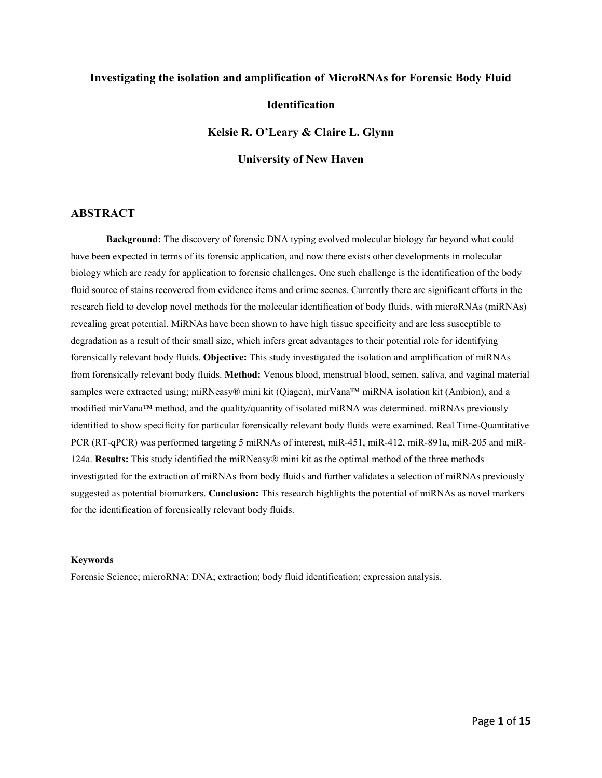## **Investigating the isolation and amplification of MicroRNAs for Forensic Body Fluid**

## **Identification**

**Kelsie R. O'Leary & Claire L. Glynn**

**University of New Haven** 

# **ABSTRACT**

**Background:** The discovery of forensic DNA typing evolved molecular biology far beyond what could have been expected in terms of its forensic application, and now there exists other developments in molecular biology which are ready for application to forensic challenges. One such challenge is the identification of the body fluid source of stains recovered from evidence items and crime scenes. Currently there are significant efforts in the research field to develop novel methods for the molecular identification of body fluids, with microRNAs (miRNAs) revealing great potential. MiRNAs have been shown to have high tissue specificity and are less susceptible to degradation as a result of their small size, which infers great advantages to their potential role for identifying forensically relevant body fluids. **Objective:** This study investigated the isolation and amplification of miRNAs from forensically relevant body fluids. **Method:** Venous blood, menstrual blood, semen, saliva, and vaginal material samples were extracted using; miRNeasy® mini kit (Qiagen), mirVana™ miRNA isolation kit (Ambion), and a modified mirVana™ method, and the quality/quantity of isolated miRNA was determined. miRNAs previously identified to show specificity for particular forensically relevant body fluids were examined. Real Time-Quantitative PCR (RT-qPCR) was performed targeting 5 miRNAs of interest, miR-451, miR-412, miR-891a, miR-205 and miR-124a. **Results:** This study identified the miRNeasy® mini kit as the optimal method of the three methods investigated for the extraction of miRNAs from body fluids and further validates a selection of miRNAs previously suggested as potential biomarkers. **Conclusion:** This research highlights the potential of miRNAs as novel markers for the identification of forensically relevant body fluids.

#### **Keywords**

Forensic Science; microRNA; DNA; extraction; body fluid identification; expression analysis.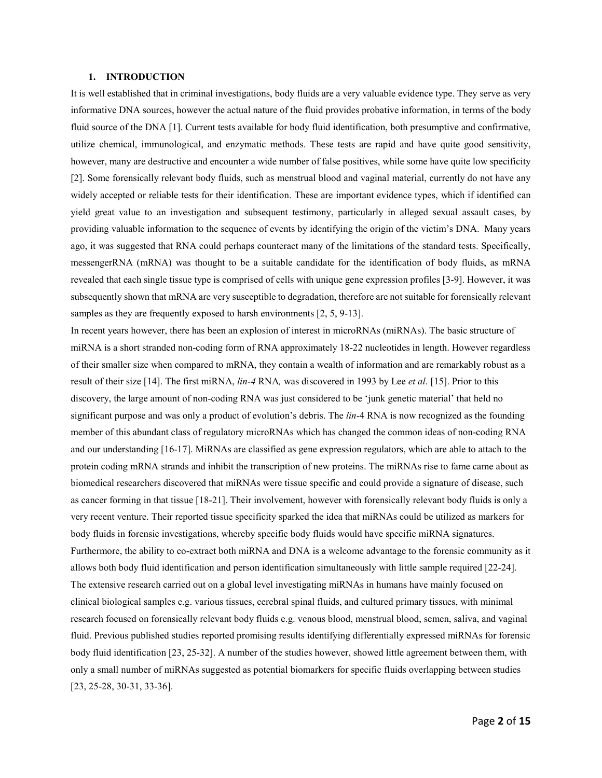#### **1. INTRODUCTION**

It is well established that in criminal investigations, body fluids are a very valuable evidence type. They serve as very informative DNA sources, however the actual nature of the fluid provides probative information, in terms of the body fluid source of the DNA [1]. Current tests available for body fluid identification, both presumptive and confirmative, utilize chemical, immunological, and enzymatic methods. These tests are rapid and have quite good sensitivity, however, many are destructive and encounter a wide number of false positives, while some have quite low specificity [2]. Some forensically relevant body fluids, such as menstrual blood and vaginal material, currently do not have any widely accepted or reliable tests for their identification. These are important evidence types, which if identified can yield great value to an investigation and subsequent testimony, particularly in alleged sexual assault cases, by providing valuable information to the sequence of events by identifying the origin of the victim's DNA. Many years ago, it was suggested that RNA could perhaps counteract many of the limitations of the standard tests. Specifically, messengerRNA (mRNA) was thought to be a suitable candidate for the identification of body fluids, as mRNA revealed that each single tissue type is comprised of cells with unique gene expression profiles [3-9]. However, it was subsequently shown that mRNA are very susceptible to degradation, therefore are not suitable for forensically relevant samples as they are frequently exposed to harsh environments [2, 5, 9-13].

In recent years however, there has been an explosion of interest in microRNAs (miRNAs). The basic structure of miRNA is a short stranded non-coding form of RNA approximately 18-22 nucleotides in length. However regardless of their smaller size when compared to mRNA, they contain a wealth of information and are remarkably robust as a result of their size [14]. The first miRNA, *lin-4* RNA*,* was discovered in 1993 by Lee *et al*. [15]. Prior to this discovery, the large amount of non-coding RNA was just considered to be 'junk genetic material' that held no significant purpose and was only a product of evolution's debris. The *lin*-4 RNA is now recognized as the founding member of this abundant class of regulatory microRNAs which has changed the common ideas of non-coding RNA and our understanding [16-17]. MiRNAs are classified as gene expression regulators, which are able to attach to the protein coding mRNA strands and inhibit the transcription of new proteins. The miRNAs rise to fame came about as biomedical researchers discovered that miRNAs were tissue specific and could provide a signature of disease, such as cancer forming in that tissue [18-21]. Their involvement, however with forensically relevant body fluids is only a very recent venture. Their reported tissue specificity sparked the idea that miRNAs could be utilized as markers for body fluids in forensic investigations, whereby specific body fluids would have specific miRNA signatures. Furthermore, the ability to co-extract both miRNA and DNA is a welcome advantage to the forensic community as it allows both body fluid identification and person identification simultaneously with little sample required [22-24]. The extensive research carried out on a global level investigating miRNAs in humans have mainly focused on clinical biological samples e.g. various tissues, cerebral spinal fluids, and cultured primary tissues, with minimal research focused on forensically relevant body fluids e.g. venous blood, menstrual blood, semen, saliva, and vaginal fluid. Previous published studies reported promising results identifying differentially expressed miRNAs for forensic body fluid identification [23, 25-32]. A number of the studies however, showed little agreement between them, with only a small number of miRNAs suggested as potential biomarkers for specific fluids overlapping between studies [23, 25-28, 30-31, 33-36].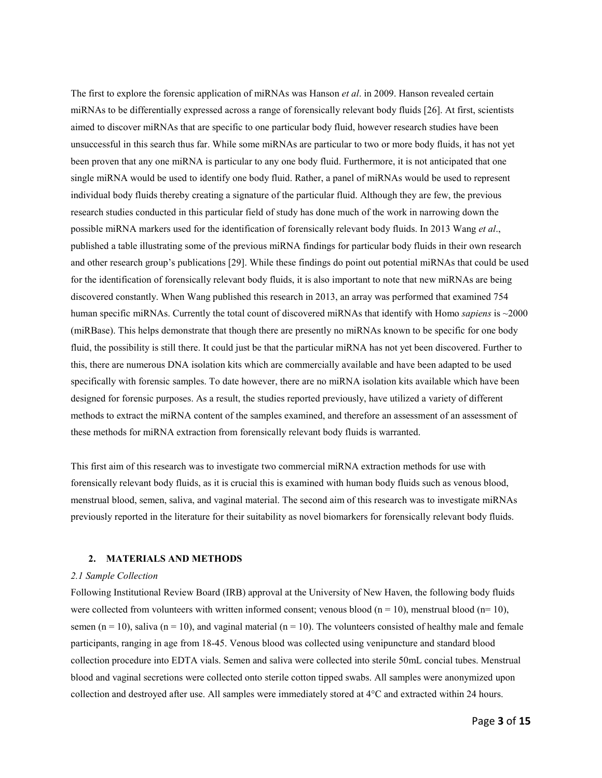The first to explore the forensic application of miRNAs was Hanson *et al*. in 2009. Hanson revealed certain miRNAs to be differentially expressed across a range of forensically relevant body fluids [26]. At first, scientists aimed to discover miRNAs that are specific to one particular body fluid, however research studies have been unsuccessful in this search thus far. While some miRNAs are particular to two or more body fluids, it has not yet been proven that any one miRNA is particular to any one body fluid. Furthermore, it is not anticipated that one single miRNA would be used to identify one body fluid. Rather, a panel of miRNAs would be used to represent individual body fluids thereby creating a signature of the particular fluid. Although they are few, the previous research studies conducted in this particular field of study has done much of the work in narrowing down the possible miRNA markers used for the identification of forensically relevant body fluids. In 2013 Wang *et al*., published a table illustrating some of the previous miRNA findings for particular body fluids in their own research and other research group's publications [29]. While these findings do point out potential miRNAs that could be used for the identification of forensically relevant body fluids, it is also important to note that new miRNAs are being discovered constantly. When Wang published this research in 2013, an array was performed that examined 754 human specific miRNAs. Currently the total count of discovered miRNAs that identify with Homo *sapiens* is ~2000 (miRBase). This helps demonstrate that though there are presently no miRNAs known to be specific for one body fluid, the possibility is still there. It could just be that the particular miRNA has not yet been discovered. Further to this, there are numerous DNA isolation kits which are commercially available and have been adapted to be used specifically with forensic samples. To date however, there are no miRNA isolation kits available which have been designed for forensic purposes. As a result, the studies reported previously, have utilized a variety of different methods to extract the miRNA content of the samples examined, and therefore an assessment of an assessment of these methods for miRNA extraction from forensically relevant body fluids is warranted.

This first aim of this research was to investigate two commercial miRNA extraction methods for use with forensically relevant body fluids, as it is crucial this is examined with human body fluids such as venous blood, menstrual blood, semen, saliva, and vaginal material. The second aim of this research was to investigate miRNAs previously reported in the literature for their suitability as novel biomarkers for forensically relevant body fluids.

#### **2. MATERIALS AND METHODS**

#### *2.1 Sample Collection*

Following Institutional Review Board (IRB) approval at the University of New Haven, the following body fluids were collected from volunteers with written informed consent; venous blood  $(n = 10)$ , menstrual blood  $(n = 10)$ , semen ( $n = 10$ ), saliva ( $n = 10$ ), and vaginal material ( $n = 10$ ). The volunteers consisted of healthy male and female participants, ranging in age from 18-45. Venous blood was collected using venipuncture and standard blood collection procedure into EDTA vials. Semen and saliva were collected into sterile 50mL concial tubes. Menstrual blood and vaginal secretions were collected onto sterile cotton tipped swabs. All samples were anonymized upon collection and destroyed after use. All samples were immediately stored at 4°C and extracted within 24 hours.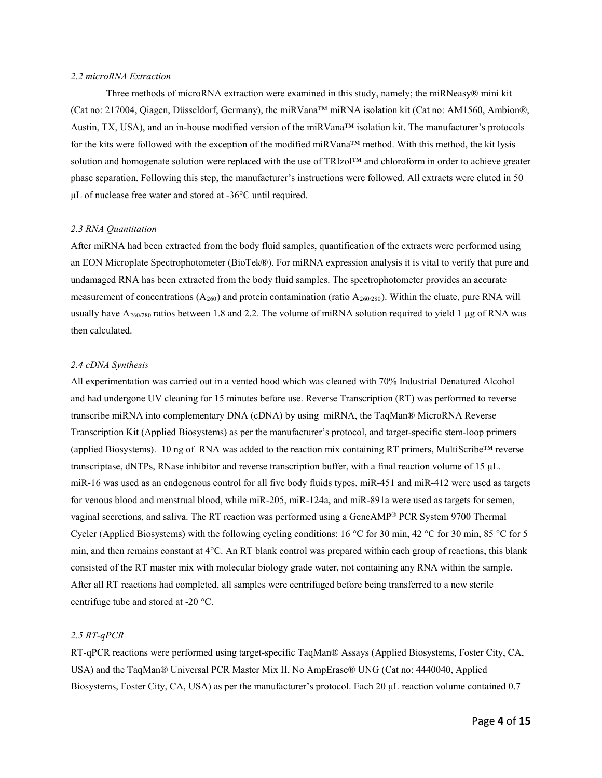## *2.2 microRNA Extraction*

Three methods of microRNA extraction were examined in this study, namely; the miRNeasy® mini kit (Cat no: 217004, Qiagen, Düsseldorf, Germany), the miRVana™ miRNA isolation kit (Cat no: AM1560, Ambion®, Austin, TX, USA), and an in-house modified version of the miRVana™ isolation kit. The manufacturer's protocols for the kits were followed with the exception of the modified miRVana™ method. With this method, the kit lysis solution and homogenate solution were replaced with the use of TRIzol™ and chloroform in order to achieve greater phase separation. Following this step, the manufacturer's instructions were followed. All extracts were eluted in 50 μL of nuclease free water and stored at -36°C until required.

#### *2.3 RNA Quantitation*

After miRNA had been extracted from the body fluid samples, quantification of the extracts were performed using an EON Microplate Spectrophotometer (BioTek®). For miRNA expression analysis it is vital to verify that pure and undamaged RNA has been extracted from the body fluid samples. The spectrophotometer provides an accurate measurement of concentrations  $(A_{260})$  and protein contamination (ratio  $A_{260/280}$ ). Within the eluate, pure RNA will usually have  $A_{260/280}$  ratios between 1.8 and 2.2. The volume of miRNA solution required to yield 1 µg of RNA was then calculated.

#### *2.4 cDNA Synthesis*

All experimentation was carried out in a vented hood which was cleaned with 70% Industrial Denatured Alcohol and had undergone UV cleaning for 15 minutes before use. Reverse Transcription (RT) was performed to reverse transcribe miRNA into complementary DNA (cDNA) by using miRNA, the TaqMan® MicroRNA Reverse Transcription Kit (Applied Biosystems) as per the manufacturer's protocol, and target-specific stem-loop primers (applied Biosystems). 10 ng of RNA was added to the reaction mix containing RT primers, MultiScribe™ reverse transcriptase, dNTPs, RNase inhibitor and reverse transcription buffer, with a final reaction volume of 15 μL. miR-16 was used as an endogenous control for all five body fluids types. miR-451 and miR-412 were used as targets for venous blood and menstrual blood, while miR-205, miR-124a, and miR-891a were used as targets for semen, vaginal secretions, and saliva. The RT reaction was performed using a GeneAMP® PCR System 9700 Thermal Cycler (Applied Biosystems) with the following cycling conditions: 16 °C for 30 min, 42 °C for 30 min, 85 °C for 5 min, and then remains constant at 4°C. An RT blank control was prepared within each group of reactions, this blank consisted of the RT master mix with molecular biology grade water, not containing any RNA within the sample. After all RT reactions had completed, all samples were centrifuged before being transferred to a new sterile centrifuge tube and stored at -20 °C.

### *2.5 RT-qPCR*

RT-qPCR reactions were performed using target-specific TaqMan® Assays (Applied Biosystems, Foster City, CA, USA) and the TaqMan® Universal PCR Master Mix II, No AmpErase® UNG (Cat no: 4440040, Applied Biosystems, Foster City, CA, USA) as per the manufacturer's protocol. Each 20 μL reaction volume contained 0.7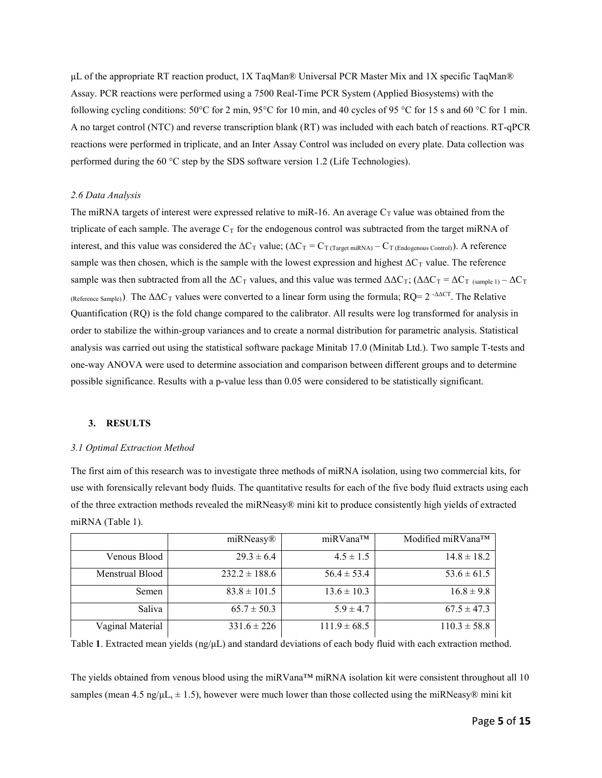μL of the appropriate RT reaction product, 1X TaqMan® Universal PCR Master Mix and 1X specific TaqMan® Assay. PCR reactions were performed using a 7500 Real-Time PCR System (Applied Biosystems) with the following cycling conditions:  $50^{\circ}$ C for 2 min,  $95^{\circ}$ C for 10 min, and 40 cycles of 95 °C for 15 s and 60 °C for 1 min. A no target control (NTC) and reverse transcription blank (RT) was included with each batch of reactions. RT-qPCR reactions were performed in triplicate, and an Inter Assay Control was included on every plate. Data collection was performed during the 60 °C step by the SDS software version 1.2 (Life Technologies).

#### *2.6 Data Analysis*

The miRNA targets of interest were expressed relative to miR-16. An average  $C_T$  value was obtained from the triplicate of each sample. The average  $C_T$  for the endogenous control was subtracted from the target miRNA of interest, and this value was considered the  $\Delta C_T$  value;  $(\Delta C_T = C_T$  (Target miRNA) –  $C_T$  (Endogenous Control)). A reference sample was then chosen, which is the sample with the lowest expression and highest  $\Delta C_T$  value. The reference sample was then subtracted from all the  $\Delta C_T$  values, and this value was termed  $\Delta \Delta C_T$ ; ( $\Delta \Delta C_T = \Delta C_T$  (sample 1) –  $\Delta C_T$ (Reference Sample)). The  $\Delta \Delta C_T$  values were converted to a linear form using the formula; RQ= 2 - $\Delta \Delta C_T$ . The Relative Quantification (RQ) is the fold change compared to the calibrator. All results were log transformed for analysis in order to stabilize the within-group variances and to create a normal distribution for parametric analysis. Statistical analysis was carried out using the statistical software package Minitab 17.0 (Minitab Ltd.). Two sample T-tests and one-way ANOVA were used to determine association and comparison between different groups and to determine possible significance. Results with a p-value less than 0.05 were considered to be statistically significant.

#### **3. RESULTS**

#### *3.1 Optimal Extraction Method*

The first aim of this research was to investigate three methods of miRNA isolation, using two commercial kits, for use with forensically relevant body fluids. The quantitative results for each of the five body fluid extracts using each of the three extraction methods revealed the miRNeasy® mini kit to produce consistently high yields of extracted miRNA (Table 1).

|                  | miRNeasy®         | miRVana™         | Modified miRVana <sup>™</sup> |
|------------------|-------------------|------------------|-------------------------------|
| Venous Blood     | $29.3 \pm 6.4$    | $4.5 \pm 1.5$    | $14.8 \pm 18.2$               |
| Menstrual Blood  | $232.2 \pm 188.6$ | $56.4 \pm 53.4$  | $53.6 \pm 61.5$               |
| Semen            | $83.8 \pm 101.5$  | $13.6 \pm 10.3$  | $16.8 \pm 9.8$                |
| Saliva           | $65.7 \pm 50.3$   | $5.9 \pm 4.7$    | $67.5 \pm 47.3$               |
| Vaginal Material | $331.6 \pm 226$   | $111.9 \pm 68.5$ | $110.3 \pm 58.8$              |

Table **1**. Extracted mean yields (ng/μL) and standard deviations of each body fluid with each extraction method.

The yields obtained from venous blood using the miRVana™ miRNA isolation kit were consistent throughout all 10 samples (mean 4.5 ng/μL,  $\pm$  1.5), however were much lower than those collected using the miRNeasy® mini kit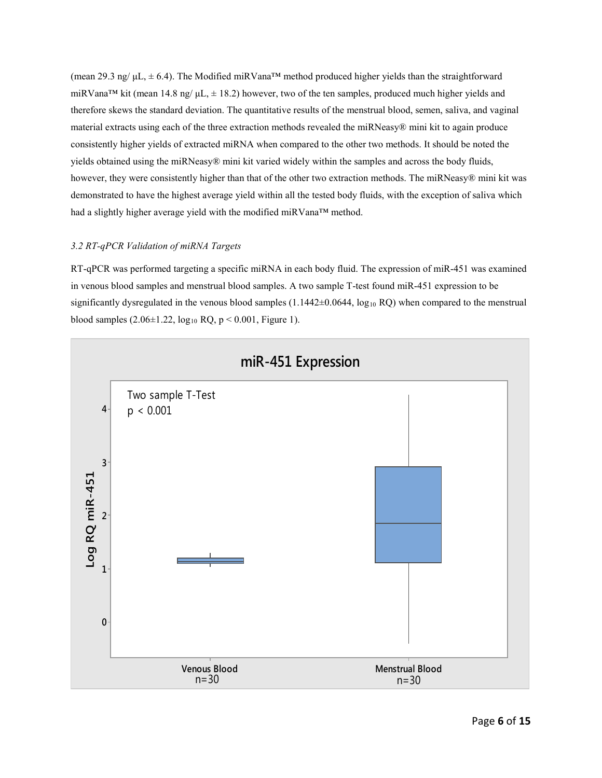(mean 29.3 ng/  $\mu L$ ,  $\pm$  6.4). The Modified miRVana<sup>™</sup> method produced higher yields than the straightforward miRVana<sup>TM</sup> kit (mean 14.8 ng/  $\mu L$ ,  $\pm$  18.2) however, two of the ten samples, produced much higher yields and therefore skews the standard deviation. The quantitative results of the menstrual blood, semen, saliva, and vaginal material extracts using each of the three extraction methods revealed the miRNeasy® mini kit to again produce consistently higher yields of extracted miRNA when compared to the other two methods. It should be noted the yields obtained using the miRNeasy® mini kit varied widely within the samples and across the body fluids, however, they were consistently higher than that of the other two extraction methods. The miRNeasy® mini kit was demonstrated to have the highest average yield within all the tested body fluids, with the exception of saliva which had a slightly higher average yield with the modified miRVana™ method.

## *3.2 RT-qPCR Validation of miRNA Targets*

RT-qPCR was performed targeting a specific miRNA in each body fluid. The expression of miR-451 was examined in venous blood samples and menstrual blood samples. A two sample T-test found miR-451 expression to be significantly dysregulated in the venous blood samples  $(1.1442\pm0.0644, \log_{10} RQ)$  when compared to the menstrual blood samples  $(2.06 \pm 1.22, \log_{10} RQ, p \le 0.001,$  Figure 1).

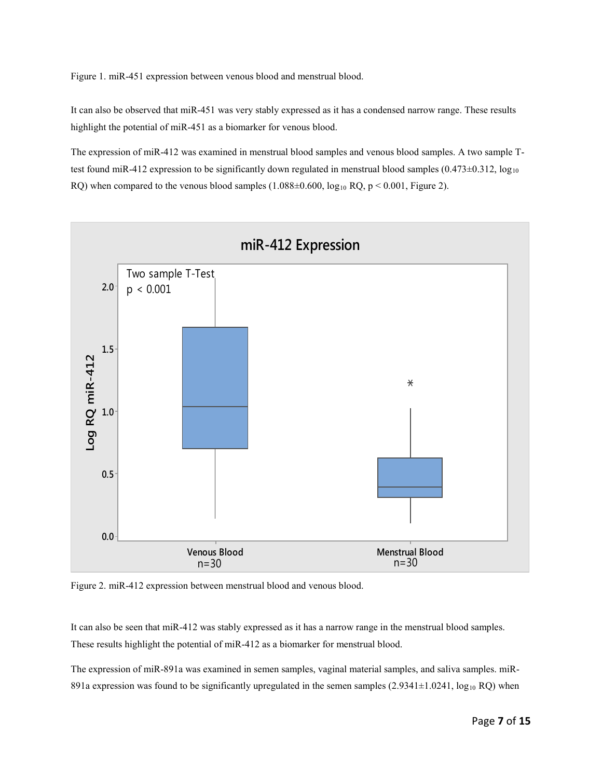Figure 1. miR-451 expression between venous blood and menstrual blood.

It can also be observed that miR-451 was very stably expressed as it has a condensed narrow range. These results highlight the potential of miR-451 as a biomarker for venous blood.

The expression of miR-412 was examined in menstrual blood samples and venous blood samples. A two sample Ttest found miR-412 expression to be significantly down regulated in menstrual blood samples  $(0.473\pm0.312, \log_{10}$ RQ) when compared to the venous blood samples  $(1.088\pm0.600, \log_{10} RQ, p < 0.001,$  Figure 2).



Figure 2. miR-412 expression between menstrual blood and venous blood.

It can also be seen that miR-412 was stably expressed as it has a narrow range in the menstrual blood samples. These results highlight the potential of miR-412 as a biomarker for menstrual blood.

The expression of miR-891a was examined in semen samples, vaginal material samples, and saliva samples. miR-891a expression was found to be significantly upregulated in the semen samples  $(2.9341\pm1.0241, \log_{10} RQ)$  when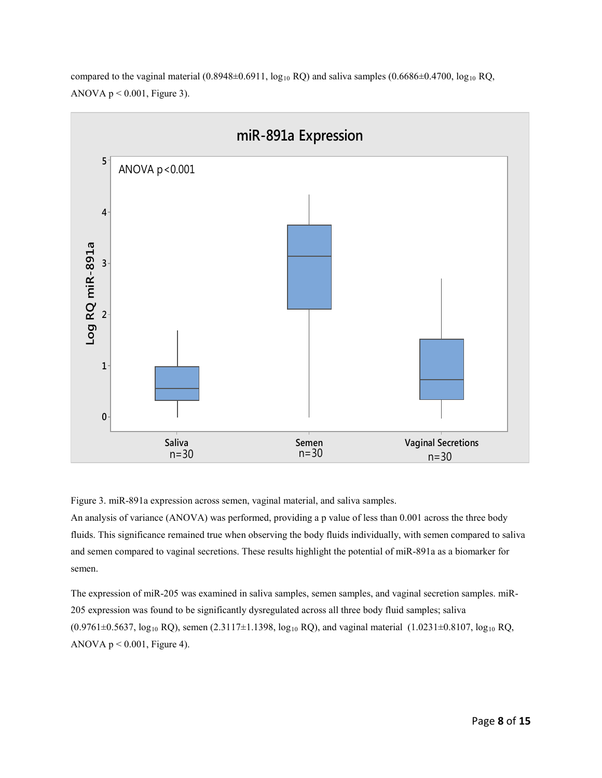

compared to the vaginal material  $(0.8948\pm0.6911, \log_{10} RQ)$  and saliva samples  $(0.6686\pm0.4700, \log_{10} RQ)$ ANOVA  $p < 0.001$ , Figure 3).

Figure 3. miR-891a expression across semen, vaginal material, and saliva samples.

An analysis of variance (ANOVA) was performed, providing a p value of less than 0.001 across the three body fluids. This significance remained true when observing the body fluids individually, with semen compared to saliva and semen compared to vaginal secretions. These results highlight the potential of miR-891a as a biomarker for semen.

The expression of miR-205 was examined in saliva samples, semen samples, and vaginal secretion samples. miR-205 expression was found to be significantly dysregulated across all three body fluid samples; saliva  $(0.9761\pm0.5637, \log_{10} RQ)$ , semen  $(2.3117\pm1.1398, \log_{10} RQ)$ , and vaginal material  $(1.0231\pm0.8107, \log_{10} RQ)$ ANOVA  $p < 0.001$ , Figure 4).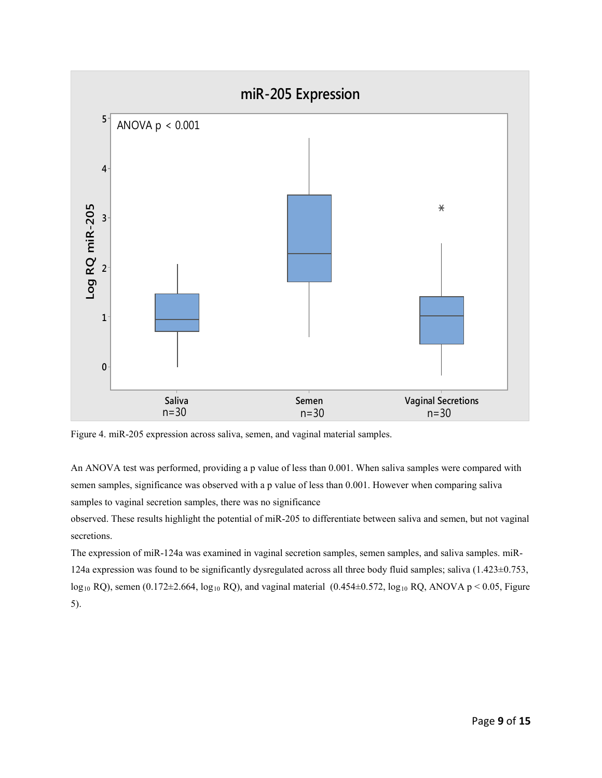

Figure 4. miR-205 expression across saliva, semen, and vaginal material samples.

An ANOVA test was performed, providing a p value of less than 0.001. When saliva samples were compared with semen samples, significance was observed with a p value of less than 0.001. However when comparing saliva samples to vaginal secretion samples, there was no significance

observed. These results highlight the potential of miR-205 to differentiate between saliva and semen, but not vaginal secretions.

The expression of miR-124a was examined in vaginal secretion samples, semen samples, and saliva samples. miR-124a expression was found to be significantly dysregulated across all three body fluid samples; saliva (1.423±0.753, log<sub>10</sub> RQ), semen (0.172 $\pm$ 2.664, log<sub>10</sub> RQ), and vaginal material (0.454 $\pm$ 0.572, log<sub>10</sub> RQ, ANOVA p < 0.05, Figure 5).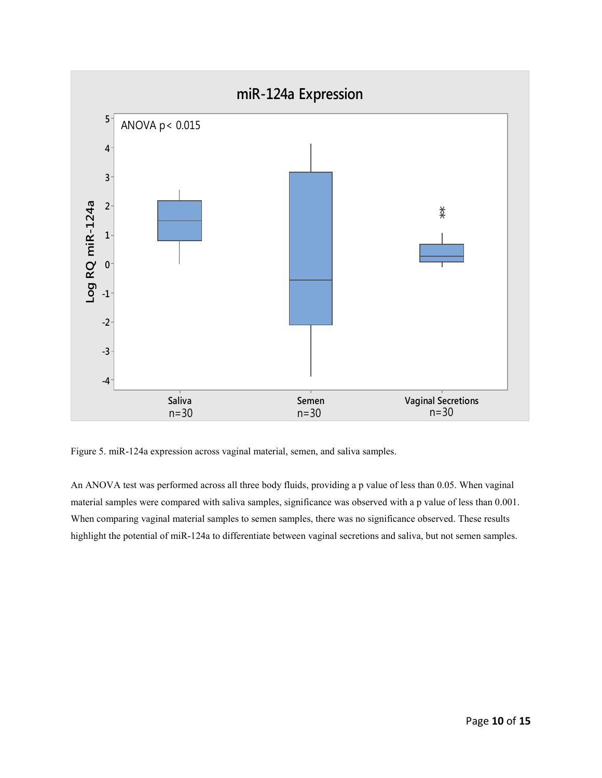

Figure 5. miR-124a expression across vaginal material, semen, and saliva samples.

An ANOVA test was performed across all three body fluids, providing a p value of less than 0.05. When vaginal material samples were compared with saliva samples, significance was observed with a p value of less than 0.001. When comparing vaginal material samples to semen samples, there was no significance observed. These results highlight the potential of miR-124a to differentiate between vaginal secretions and saliva, but not semen samples.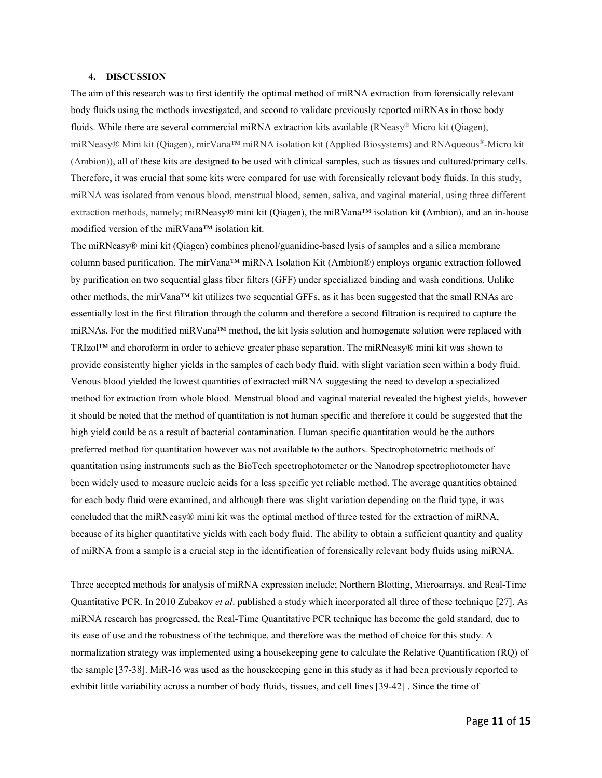#### **4. DISCUSSION**

The aim of this research was to first identify the optimal method of miRNA extraction from forensically relevant body fluids using the methods investigated, and second to validate previously reported miRNAs in those body fluids. While there are several commercial miRNA extraction kits available (RNeasy® Micro kit (Qiagen), miRNeasy® Mini kit (Qiagen), mirVana™ miRNA isolation kit (Applied Biosystems) and RNAqueous®-Micro kit (Ambion)), all of these kits are designed to be used with clinical samples, such as tissues and cultured/primary cells. Therefore, it was crucial that some kits were compared for use with forensically relevant body fluids. In this study, miRNA was isolated from venous blood, menstrual blood, semen, saliva, and vaginal material, using three different extraction methods, namely; miRNeasy® mini kit (Qiagen), the miRVana™ isolation kit (Ambion), and an in-house modified version of the miRVana™ isolation kit.

The miRNeasy® mini kit (Qiagen) combines phenol/guanidine-based lysis of samples and a silica membrane column based purification. The mirVana™ miRNA Isolation Kit (Ambion®) employs organic extraction followed by purification on two sequential glass fiber filters (GFF) under specialized binding and wash conditions. Unlike other methods, the mirVana™ kit utilizes two sequential GFFs, as it has been suggested that the small RNAs are essentially lost in the first filtration through the column and therefore a second filtration is required to capture the miRNAs. For the modified miRVana™ method, the kit lysis solution and homogenate solution were replaced with TRIzol™ and choroform in order to achieve greater phase separation. The miRNeasy® mini kit was shown to provide consistently higher yields in the samples of each body fluid, with slight variation seen within a body fluid. Venous blood yielded the lowest quantities of extracted miRNA suggesting the need to develop a specialized method for extraction from whole blood. Menstrual blood and vaginal material revealed the highest yields, however it should be noted that the method of quantitation is not human specific and therefore it could be suggested that the high yield could be as a result of bacterial contamination. Human specific quantitation would be the authors preferred method for quantitation however was not available to the authors. Spectrophotometric methods of quantitation using instruments such as the BioTech spectrophotometer or the Nanodrop spectrophotometer have been widely used to measure nucleic acids for a less specific yet reliable method. The average quantities obtained for each body fluid were examined, and although there was slight variation depending on the fluid type, it was concluded that the miRNeasy® mini kit was the optimal method of three tested for the extraction of miRNA, because of its higher quantitative yields with each body fluid. The ability to obtain a sufficient quantity and quality of miRNA from a sample is a crucial step in the identification of forensically relevant body fluids using miRNA.

Three accepted methods for analysis of miRNA expression include; Northern Blotting, Microarrays, and Real-Time Quantitative PCR. In 2010 Zubakov *et al*. published a study which incorporated all three of these technique [27]. As miRNA research has progressed, the Real-Time Quantitative PCR technique has become the gold standard, due to its ease of use and the robustness of the technique, and therefore was the method of choice for this study. A normalization strategy was implemented using a housekeeping gene to calculate the Relative Quantification (RQ) of the sample [37-38]. MiR-16 was used as the housekeeping gene in this study as it had been previously reported to exhibit little variability across a number of body fluids, tissues, and cell lines [39-42] . Since the time of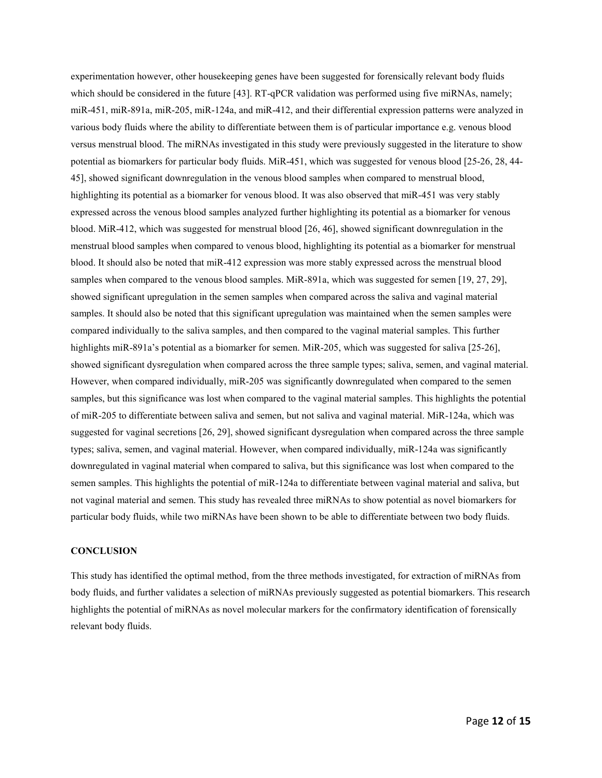experimentation however, other housekeeping genes have been suggested for forensically relevant body fluids which should be considered in the future [43]. RT-qPCR validation was performed using five miRNAs, namely; miR-451, miR-891a, miR-205, miR-124a, and miR-412, and their differential expression patterns were analyzed in various body fluids where the ability to differentiate between them is of particular importance e.g. venous blood versus menstrual blood. The miRNAs investigated in this study were previously suggested in the literature to show potential as biomarkers for particular body fluids. MiR-451, which was suggested for venous blood [25-26, 28, 44- 45], showed significant downregulation in the venous blood samples when compared to menstrual blood, highlighting its potential as a biomarker for venous blood. It was also observed that miR-451 was very stably expressed across the venous blood samples analyzed further highlighting its potential as a biomarker for venous blood. MiR-412, which was suggested for menstrual blood [26, 46], showed significant downregulation in the menstrual blood samples when compared to venous blood, highlighting its potential as a biomarker for menstrual blood. It should also be noted that miR-412 expression was more stably expressed across the menstrual blood samples when compared to the venous blood samples. MiR-891a, which was suggested for semen [19, 27, 29], showed significant upregulation in the semen samples when compared across the saliva and vaginal material samples. It should also be noted that this significant upregulation was maintained when the semen samples were compared individually to the saliva samples, and then compared to the vaginal material samples. This further highlights miR-891a's potential as a biomarker for semen. MiR-205, which was suggested for saliva [25-26], showed significant dysregulation when compared across the three sample types; saliva, semen, and vaginal material. However, when compared individually, miR-205 was significantly downregulated when compared to the semen samples, but this significance was lost when compared to the vaginal material samples. This highlights the potential of miR-205 to differentiate between saliva and semen, but not saliva and vaginal material. MiR-124a, which was suggested for vaginal secretions [26, 29], showed significant dysregulation when compared across the three sample types; saliva, semen, and vaginal material. However, when compared individually, miR-124a was significantly downregulated in vaginal material when compared to saliva, but this significance was lost when compared to the semen samples. This highlights the potential of miR-124a to differentiate between vaginal material and saliva, but not vaginal material and semen. This study has revealed three miRNAs to show potential as novel biomarkers for particular body fluids, while two miRNAs have been shown to be able to differentiate between two body fluids.

### **CONCLUSION**

This study has identified the optimal method, from the three methods investigated, for extraction of miRNAs from body fluids, and further validates a selection of miRNAs previously suggested as potential biomarkers. This research highlights the potential of miRNAs as novel molecular markers for the confirmatory identification of forensically relevant body fluids.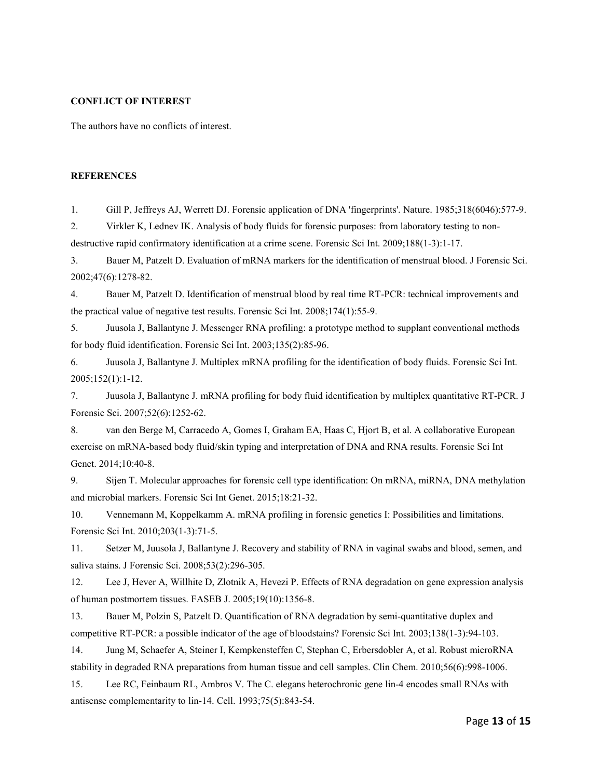#### **CONFLICT OF INTEREST**

The authors have no conflicts of interest.

#### **REFERENCES**

1. Gill P, Jeffreys AJ, Werrett DJ. Forensic application of DNA 'fingerprints'. Nature. 1985;318(6046):577-9.

2. Virkler K, Lednev IK. Analysis of body fluids for forensic purposes: from laboratory testing to nondestructive rapid confirmatory identification at a crime scene. Forensic Sci Int. 2009;188(1-3):1-17.

3. Bauer M, Patzelt D. Evaluation of mRNA markers for the identification of menstrual blood. J Forensic Sci. 2002;47(6):1278-82.

4. Bauer M, Patzelt D. Identification of menstrual blood by real time RT-PCR: technical improvements and the practical value of negative test results. Forensic Sci Int. 2008;174(1):55-9.

5. Juusola J, Ballantyne J. Messenger RNA profiling: a prototype method to supplant conventional methods for body fluid identification. Forensic Sci Int. 2003;135(2):85-96.

6. Juusola J, Ballantyne J. Multiplex mRNA profiling for the identification of body fluids. Forensic Sci Int. 2005;152(1):1-12.

7. Juusola J, Ballantyne J. mRNA profiling for body fluid identification by multiplex quantitative RT-PCR. J Forensic Sci. 2007;52(6):1252-62.

8. van den Berge M, Carracedo A, Gomes I, Graham EA, Haas C, Hjort B, et al. A collaborative European exercise on mRNA-based body fluid/skin typing and interpretation of DNA and RNA results. Forensic Sci Int Genet. 2014;10:40-8.

9. Sijen T. Molecular approaches for forensic cell type identification: On mRNA, miRNA, DNA methylation and microbial markers. Forensic Sci Int Genet. 2015;18:21-32.

10. Vennemann M, Koppelkamm A. mRNA profiling in forensic genetics I: Possibilities and limitations. Forensic Sci Int. 2010;203(1-3):71-5.

11. Setzer M, Juusola J, Ballantyne J. Recovery and stability of RNA in vaginal swabs and blood, semen, and saliva stains. J Forensic Sci. 2008;53(2):296-305.

12. Lee J, Hever A, Willhite D, Zlotnik A, Hevezi P. Effects of RNA degradation on gene expression analysis of human postmortem tissues. FASEB J. 2005;19(10):1356-8.

13. Bauer M, Polzin S, Patzelt D. Quantification of RNA degradation by semi-quantitative duplex and competitive RT-PCR: a possible indicator of the age of bloodstains? Forensic Sci Int. 2003;138(1-3):94-103.

14. Jung M, Schaefer A, Steiner I, Kempkensteffen C, Stephan C, Erbersdobler A, et al. Robust microRNA stability in degraded RNA preparations from human tissue and cell samples. Clin Chem. 2010;56(6):998-1006.

15. Lee RC, Feinbaum RL, Ambros V. The C. elegans heterochronic gene lin-4 encodes small RNAs with antisense complementarity to lin-14. Cell. 1993;75(5):843-54.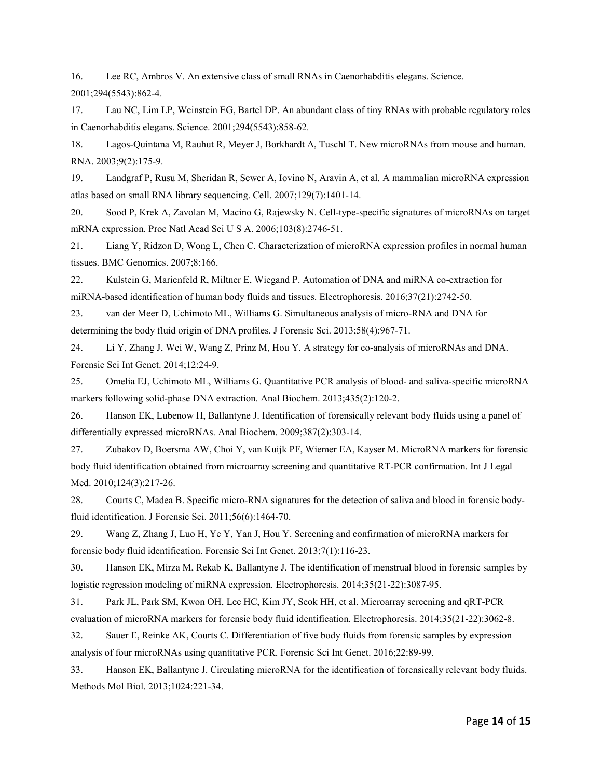16. Lee RC, Ambros V. An extensive class of small RNAs in Caenorhabditis elegans. Science. 2001;294(5543):862-4.

17. Lau NC, Lim LP, Weinstein EG, Bartel DP. An abundant class of tiny RNAs with probable regulatory roles in Caenorhabditis elegans. Science. 2001;294(5543):858-62.

18. Lagos-Quintana M, Rauhut R, Meyer J, Borkhardt A, Tuschl T. New microRNAs from mouse and human. RNA. 2003;9(2):175-9.

19. Landgraf P, Rusu M, Sheridan R, Sewer A, Iovino N, Aravin A, et al. A mammalian microRNA expression atlas based on small RNA library sequencing. Cell. 2007;129(7):1401-14.

20. Sood P, Krek A, Zavolan M, Macino G, Rajewsky N. Cell-type-specific signatures of microRNAs on target mRNA expression. Proc Natl Acad Sci U S A. 2006;103(8):2746-51.

21. Liang Y, Ridzon D, Wong L, Chen C. Characterization of microRNA expression profiles in normal human tissues. BMC Genomics. 2007;8:166.

22. Kulstein G, Marienfeld R, Miltner E, Wiegand P. Automation of DNA and miRNA co-extraction for miRNA-based identification of human body fluids and tissues. Electrophoresis. 2016;37(21):2742-50.

23. van der Meer D, Uchimoto ML, Williams G. Simultaneous analysis of micro-RNA and DNA for determining the body fluid origin of DNA profiles. J Forensic Sci. 2013;58(4):967-71.

24. Li Y, Zhang J, Wei W, Wang Z, Prinz M, Hou Y. A strategy for co-analysis of microRNAs and DNA. Forensic Sci Int Genet. 2014;12:24-9.

25. Omelia EJ, Uchimoto ML, Williams G. Quantitative PCR analysis of blood- and saliva-specific microRNA markers following solid-phase DNA extraction. Anal Biochem. 2013;435(2):120-2.

26. Hanson EK, Lubenow H, Ballantyne J. Identification of forensically relevant body fluids using a panel of differentially expressed microRNAs. Anal Biochem. 2009;387(2):303-14.

27. Zubakov D, Boersma AW, Choi Y, van Kuijk PF, Wiemer EA, Kayser M. MicroRNA markers for forensic body fluid identification obtained from microarray screening and quantitative RT-PCR confirmation. Int J Legal Med. 2010;124(3):217-26.

28. Courts C, Madea B. Specific micro-RNA signatures for the detection of saliva and blood in forensic bodyfluid identification. J Forensic Sci. 2011;56(6):1464-70.

29. Wang Z, Zhang J, Luo H, Ye Y, Yan J, Hou Y. Screening and confirmation of microRNA markers for forensic body fluid identification. Forensic Sci Int Genet. 2013;7(1):116-23.

30. Hanson EK, Mirza M, Rekab K, Ballantyne J. The identification of menstrual blood in forensic samples by logistic regression modeling of miRNA expression. Electrophoresis. 2014;35(21-22):3087-95.

31. Park JL, Park SM, Kwon OH, Lee HC, Kim JY, Seok HH, et al. Microarray screening and qRT-PCR evaluation of microRNA markers for forensic body fluid identification. Electrophoresis. 2014;35(21-22):3062-8.

32. Sauer E, Reinke AK, Courts C. Differentiation of five body fluids from forensic samples by expression analysis of four microRNAs using quantitative PCR. Forensic Sci Int Genet. 2016;22:89-99.

33. Hanson EK, Ballantyne J. Circulating microRNA for the identification of forensically relevant body fluids. Methods Mol Biol. 2013;1024:221-34.